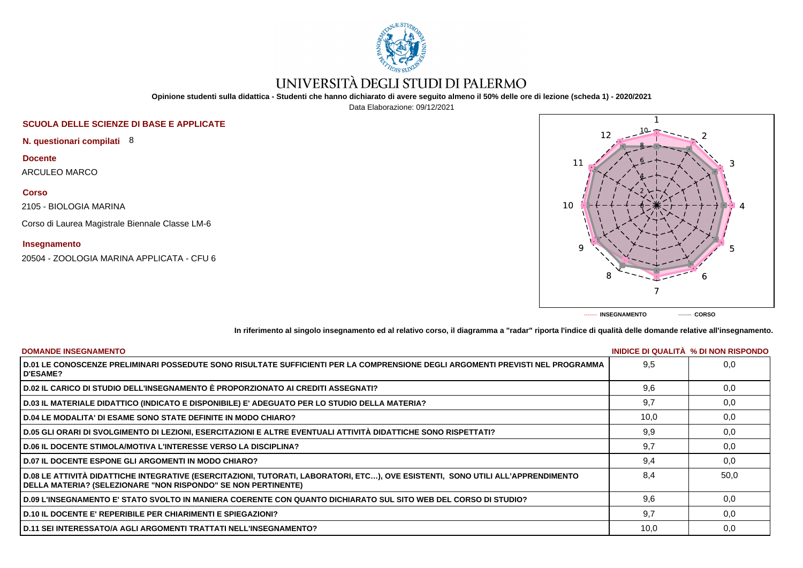

# UNIVERSITÀ DEGLI STUDI DI PALERMO

**Opinione studenti sulla didattica - Studenti che hanno dichiarato di avere seguito almeno il 50% delle ore di lezione (scheda 1) - 2020/2021**

Data Elaborazione: 09/12/2021

# **SCUOLA DELLE SCIENZE DI BASE E APPLICATE**

**N. questionari compilati** 8

**Docente** ARCULEO MARCO

**Corso**

2105 - BIOLOGIA MARINA

Corso di Laurea Magistrale Biennale Classe LM-6

## **Insegnamento**

20504 - ZOOLOGIA MARINA APPLICATA - CFU 6



**In riferimento al singolo insegnamento ed al relativo corso, il diagramma a "radar" riporta l'indice di qualità delle domande relative all'insegnamento.**

| <b>DOMANDE INSEGNAMENTO</b>                                                                                                                                                                             |      | INIDICE DI QUALITA % DI NON RISPONDO |
|---------------------------------------------------------------------------------------------------------------------------------------------------------------------------------------------------------|------|--------------------------------------|
| D.01 LE CONOSCENZE PRELIMINARI POSSEDUTE SONO RISULTATE SUFFICIENTI PER LA COMPRENSIONE DEGLI ARGOMENTI PREVISTI NEL PROGRAMMA<br><b>D'ESAME?</b>                                                       | 9.5  | 0.0                                  |
| D.02 IL CARICO DI STUDIO DELL'INSEGNAMENTO È PROPORZIONATO AI CREDITI ASSEGNATI?                                                                                                                        | 9.6  | 0,0                                  |
| D.03 IL MATERIALE DIDATTICO (INDICATO E DISPONIBILE) E' ADEGUATO PER LO STUDIO DELLA MATERIA?                                                                                                           | 9,7  | 0,0                                  |
| D.04 LE MODALITA' DI ESAME SONO STATE DEFINITE IN MODO CHIARO?                                                                                                                                          | 10,0 | 0,0                                  |
| D.05 GLI ORARI DI SVOLGIMENTO DI LEZIONI, ESERCITAZIONI E ALTRE EVENTUALI ATTIVITÀ DIDATTICHE SONO RISPETTATI?                                                                                          | 9,9  | 0,0                                  |
| <b>D.06 IL DOCENTE STIMOLA/MOTIVA L'INTERESSE VERSO LA DISCIPLINA?</b>                                                                                                                                  | 9.7  | 0.0                                  |
| <b>D.07 IL DOCENTE ESPONE GLI ARGOMENTI IN MODO CHIARO?</b>                                                                                                                                             | 9,4  | 0.0                                  |
| D.08 LE ATTIVITÀ DIDATTICHE INTEGRATIVE (ESERCITAZIONI, TUTORATI, LABORATORI, ETC), OVE ESISTENTI, SONO UTILI ALL'APPRENDIMENTO<br><b>DELLA MATERIA? (SELEZIONARE "NON RISPONDO" SE NON PERTINENTE)</b> | 8.4  | 50.0                                 |
| D.09 L'INSEGNAMENTO E' STATO SVOLTO IN MANIERA COERENTE CON QUANTO DICHIARATO SUL SITO WEB DEL CORSO DI STUDIO?                                                                                         | 9.6  | 0.0                                  |
| D.10 IL DOCENTE E' REPERIBILE PER CHIARIMENTI E SPIEGAZIONI?                                                                                                                                            | 9.7  | 0.0                                  |
| D.11 SEI INTERESSATO/A AGLI ARGOMENTI TRATTATI NELL'INSEGNAMENTO?                                                                                                                                       | 10,0 | 0,0                                  |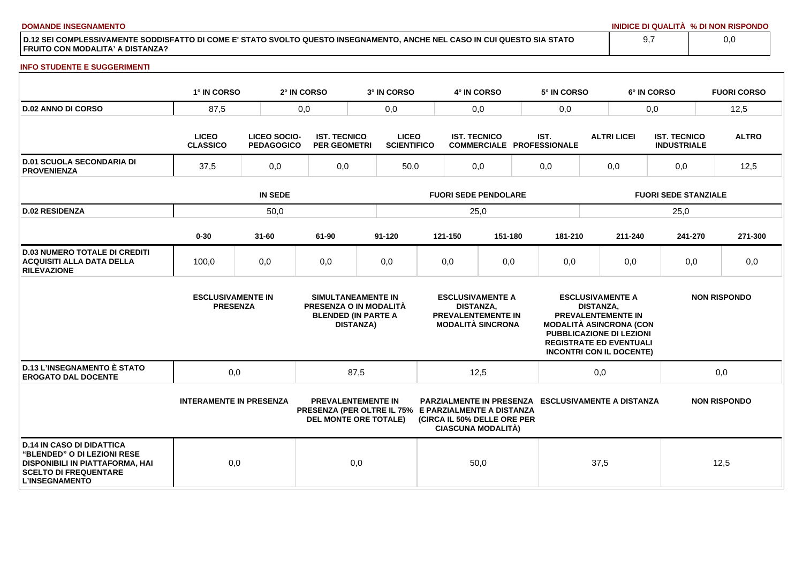**DOMANDE INSEGNAMENTO INIDICE DI QUALITÀ % DI NON RISPONDO**

**D.12 SEI COMPLESSIVAMENTE SODDISFATTO DI COME E' STATO SVOLTO QUESTO INSEGNAMENTO, ANCHE NEL CASO IN CUI QUESTO SIA STATO FRUITO CON MODALITA' A DISTANZA?**

### **INFO STUDENTE E SUGGERIMENTI**

|                                                                                                                                                                    | 1° IN CORSO                                 |                                          | 2° IN CORSO                                | 3° IN CORSO                                                                                                       |                             | 4° IN CORSO         |                                                                                  |     | 5° IN CORSO                                                                             |                             | 6° IN CORSO                                                                                  |                                           | <b>FUORI CORSO</b>  |
|--------------------------------------------------------------------------------------------------------------------------------------------------------------------|---------------------------------------------|------------------------------------------|--------------------------------------------|-------------------------------------------------------------------------------------------------------------------|-----------------------------|---------------------|----------------------------------------------------------------------------------|-----|-----------------------------------------------------------------------------------------|-----------------------------|----------------------------------------------------------------------------------------------|-------------------------------------------|---------------------|
| <b>D.02 ANNO DI CORSO</b>                                                                                                                                          | 87,5                                        |                                          | 0,0                                        |                                                                                                                   | 0,0<br>0,0                  |                     |                                                                                  | 0,0 |                                                                                         | 0,0                         |                                                                                              |                                           | 12,5                |
|                                                                                                                                                                    | <b>LICEO</b><br><b>CLASSICO</b>             | <b>LICEO SOCIO-</b><br><b>PEDAGOGICO</b> | <b>IST. TECNICO</b><br><b>PER GEOMETRI</b> | <b>LICEO</b><br><b>SCIENTIFICO</b>                                                                                |                             | <b>IST. TECNICO</b> | <b>COMMERCIALE PROFESSIONALE</b>                                                 |     | IST.                                                                                    |                             | <b>ALTRI LICEI</b>                                                                           | <b>IST. TECNICO</b><br><b>INDUSTRIALE</b> | <b>ALTRO</b>        |
| <b>D.01 SCUOLA SECONDARIA DI</b><br><b>PROVENIENZA</b>                                                                                                             | 37,5                                        | 0,0                                      |                                            | 50,0                                                                                                              | 0,0                         |                     | 0,0                                                                              |     | 0,0                                                                                     |                             | 0,0                                                                                          | 12,5                                      |                     |
|                                                                                                                                                                    | <b>IN SEDE</b>                              |                                          |                                            |                                                                                                                   | <b>FUORI SEDE PENDOLARE</b> |                     |                                                                                  |     |                                                                                         | <b>FUORI SEDE STANZIALE</b> |                                                                                              |                                           |                     |
| <b>D.02 RESIDENZA</b>                                                                                                                                              |                                             | 50,0                                     |                                            |                                                                                                                   |                             | 25,0                |                                                                                  |     |                                                                                         |                             |                                                                                              | 25,0                                      |                     |
|                                                                                                                                                                    | $0 - 30$                                    | $31 - 60$                                | 61-90                                      | $91 - 120$                                                                                                        |                             | 121-150             | 151-180                                                                          |     | 181-210                                                                                 |                             | 211-240                                                                                      | 241-270                                   | 271-300             |
| <b>D.03 NUMERO TOTALE DI CREDITI</b><br><b>ACQUISITI ALLA DATA DELLA</b><br><b>RILEVAZIONE</b>                                                                     | 100,0                                       | 0,0                                      | 0,0                                        | 0,0                                                                                                               |                             | 0,0                 | 0,0                                                                              |     | 0,0                                                                                     |                             | 0,0                                                                                          | 0,0                                       | 0,0                 |
|                                                                                                                                                                    | <b>ESCLUSIVAMENTE IN</b><br><b>PRESENZA</b> |                                          |                                            | SIMULTANEAMENTE IN<br>PRESENZA O IN MODALITÀ<br><b>BLENDED (IN PARTE A</b><br><b>DISTANZA)</b>                    |                             | <b>DISTANZA,</b>    | <b>ESCLUSIVAMENTE A</b><br><b>PREVALENTEMENTE IN</b><br><b>MODALITÀ SINCRONA</b> |     | PREVALENTEMENTE IN<br><b>PUBBLICAZIONE DI LEZIONI</b><br><b>REGISTRATE ED EVENTUALI</b> | <b>DISTANZA.</b>            | <b>ESCLUSIVAMENTE A</b><br><b>MODALITÀ ASINCRONA (CON</b><br><b>INCONTRI CON IL DOCENTE)</b> |                                           | <b>NON RISPONDO</b> |
| <b>D.13 L'INSEGNAMENTO È STATO</b><br><b>EROGATO DAL DOCENTE</b>                                                                                                   | 0,0                                         |                                          |                                            | 87,5                                                                                                              |                             | 12,5                |                                                                                  |     |                                                                                         | 0,0                         |                                                                                              |                                           | 0,0                 |
|                                                                                                                                                                    | <b>INTERAMENTE IN PRESENZA</b>              |                                          |                                            | <b>PREVALENTEMENTE IN</b><br>PRESENZA (PER OLTRE IL 75% E PARZIALMENTE A DISTANZA<br><b>DEL MONTE ORE TOTALE)</b> |                             |                     | (CIRCA IL 50% DELLE ORE PER<br><b>CIASCUNA MODALITÀ)</b>                         |     |                                                                                         |                             | <b>PARZIALMENTE IN PRESENZA ESCLUSIVAMENTE A DISTANZA</b>                                    |                                           | <b>NON RISPONDO</b> |
| <b>D.14 IN CASO DI DIDATTICA</b><br><b>"BLENDED" O DI LEZIONI RESE</b><br>DISPONIBILI IN PIATTAFORMA, HAI<br><b>SCELTO DI FREQUENTARE</b><br><b>L'INSEGNAMENTO</b> | 0,0                                         |                                          |                                            | 0,0                                                                                                               |                             | 50,0                |                                                                                  |     |                                                                                         | 37,5                        |                                                                                              |                                           | 12,5                |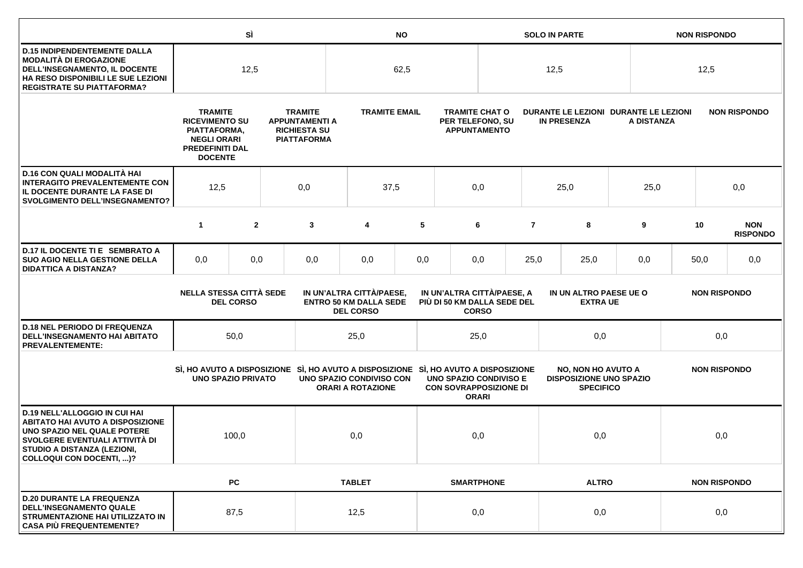|                                                                                                                                                                                                             |                                                                                                                           | SÌ             |                                                                                      | <b>NO</b>                                                                                                                                  |                                                      |     |                                                                  |                                           |                                                             | <b>NON RISPONDO</b>                                                             |            |                     |      |                               |
|-------------------------------------------------------------------------------------------------------------------------------------------------------------------------------------------------------------|---------------------------------------------------------------------------------------------------------------------------|----------------|--------------------------------------------------------------------------------------|--------------------------------------------------------------------------------------------------------------------------------------------|------------------------------------------------------|-----|------------------------------------------------------------------|-------------------------------------------|-------------------------------------------------------------|---------------------------------------------------------------------------------|------------|---------------------|------|-------------------------------|
| <b>D.15 INDIPENDENTEMENTE DALLA</b><br><b>MODALITÀ DI EROGAZIONE</b><br>DELL'INSEGNAMENTO, IL DOCENTE<br>HA RESO DISPONIBILI LE SUE LEZIONI<br><b>REGISTRATE SU PIATTAFORMA?</b>                            | 12,5                                                                                                                      |                |                                                                                      | 62,5                                                                                                                                       |                                                      |     | 12,5                                                             |                                           |                                                             |                                                                                 | 12,5       |                     |      |                               |
|                                                                                                                                                                                                             | <b>TRAMITE</b><br><b>RICEVIMENTO SU</b><br>PIATTAFORMA,<br><b>NEGLI ORARI</b><br><b>PREDEFINITI DAL</b><br><b>DOCENTE</b> |                | <b>TRAMITE</b><br><b>APPUNTAMENTI A</b><br><b>RICHIESTA SU</b><br><b>PIATTAFORMA</b> |                                                                                                                                            | <b>TRAMITE EMAIL</b>                                 |     | <b>TRAMITE CHAT O</b><br>PER TELEFONO, SU<br><b>APPUNTAMENTO</b> |                                           | DURANTE LE LEZIONI DURANTE LE LEZIONI<br><b>IN PRESENZA</b> |                                                                                 | A DISTANZA |                     |      | <b>NON RISPONDO</b>           |
| D.16 CON QUALI MODALITÀ HAI<br><b>INTERAGITO PREVALENTEMENTE CON</b><br>IL DOCENTE DURANTE LA FASE DI<br><b>SVOLGIMENTO DELL'INSEGNAMENTO?</b>                                                              | 12,5<br>0,0                                                                                                               |                |                                                                                      | 37,5                                                                                                                                       |                                                      | 0,0 |                                                                  |                                           | 25,0                                                        | 25,0                                                                            |            | 0,0                 |      |                               |
|                                                                                                                                                                                                             | $\mathbf{1}$                                                                                                              | $\overline{2}$ |                                                                                      | 3                                                                                                                                          | 4                                                    | 5   |                                                                  | 6                                         | $\overline{7}$                                              | 8                                                                               | 9          |                     | 10   | <b>NON</b><br><b>RISPONDO</b> |
| D.17 IL DOCENTE TI E SEMBRATO A<br><b>SUO AGIO NELLA GESTIONE DELLA</b><br><b>DIDATTICA A DISTANZA?</b>                                                                                                     | 0,0                                                                                                                       | 0,0            |                                                                                      | 0,0                                                                                                                                        | 0,0                                                  | 0,0 |                                                                  | 0,0                                       | 25,0                                                        | 25,0                                                                            | 0,0        |                     | 50,0 | 0,0                           |
|                                                                                                                                                                                                             | <b>NELLA STESSA CITTÀ SEDE</b><br><b>DEL CORSO</b>                                                                        |                |                                                                                      | IN UN'ALTRA CITTÀ/PAESE,<br>IN UN'ALTRA CITTÀ/PAESE, A<br><b>ENTRO 50 KM DALLA SEDE</b><br>PIÙ DI 50 KM DALLA SEDE DEL<br><b>DEL CORSO</b> |                                                      |     | <b>CORSO</b>                                                     | IN UN ALTRO PAESE UE O<br><b>EXTRA UE</b> |                                                             |                                                                                 |            | <b>NON RISPONDO</b> |      |                               |
| <b>D.18 NEL PERIODO DI FREQUENZA</b><br><b>DELL'INSEGNAMENTO HAI ABITATO</b><br><b>PREVALENTEMENTE:</b>                                                                                                     |                                                                                                                           | 50,0           |                                                                                      |                                                                                                                                            | 25,0                                                 |     |                                                                  | 25,0                                      | 0,0                                                         |                                                                                 |            |                     | 0,0  |                               |
|                                                                                                                                                                                                             | <b>UNO SPAZIO PRIVATO</b>                                                                                                 |                |                                                                                      | SI, HO AVUTO A DISPOSIZIONE SI, HO AVUTO A DISPOSIZIONE SI, HO AVUTO A DISPOSIZIONE                                                        | UNO SPAZIO CONDIVISO CON<br><b>ORARI A ROTAZIONE</b> |     | <b>UNO SPAZIO CONDIVISO E</b><br><b>CON SOVRAPPOSIZIONE DI</b>   | <b>ORARI</b>                              |                                                             | <b>NO, NON HO AVUTO A</b><br><b>DISPOSIZIONE UNO SPAZIO</b><br><b>SPECIFICO</b> |            | <b>NON RISPONDO</b> |      |                               |
| <b>D.19 NELL'ALLOGGIO IN CUI HAI</b><br><b>ABITATO HAI AVUTO A DISPOSIZIONE</b><br>UNO SPAZIO NEL QUALE POTERE<br>SVOLGERE EVENTUALI ATTIVITÀ DI<br>STUDIO A DISTANZA (LEZIONI,<br>COLLOQUI CON DOCENTI, )? | 100,0                                                                                                                     |                | 0,0                                                                                  |                                                                                                                                            |                                                      | 0,0 |                                                                  |                                           | 0,0                                                         |                                                                                 | 0,0        |                     |      |                               |
|                                                                                                                                                                                                             |                                                                                                                           | <b>PC</b>      |                                                                                      |                                                                                                                                            | <b>TABLET</b>                                        |     |                                                                  | <b>SMARTPHONE</b><br><b>ALTRO</b>         |                                                             |                                                                                 |            | <b>NON RISPONDO</b> |      |                               |
| <b>D.20 DURANTE LA FREQUENZA</b><br><b>DELL'INSEGNAMENTO QUALE</b><br>STRUMENTAZIONE HAI UTILIZZATO IN<br><b>CASA PIÙ FREQUENTEMENTE?</b>                                                                   | 87,5                                                                                                                      |                | 12,5                                                                                 |                                                                                                                                            |                                                      | 0,0 |                                                                  |                                           | 0,0                                                         |                                                                                 | 0,0        |                     |      |                               |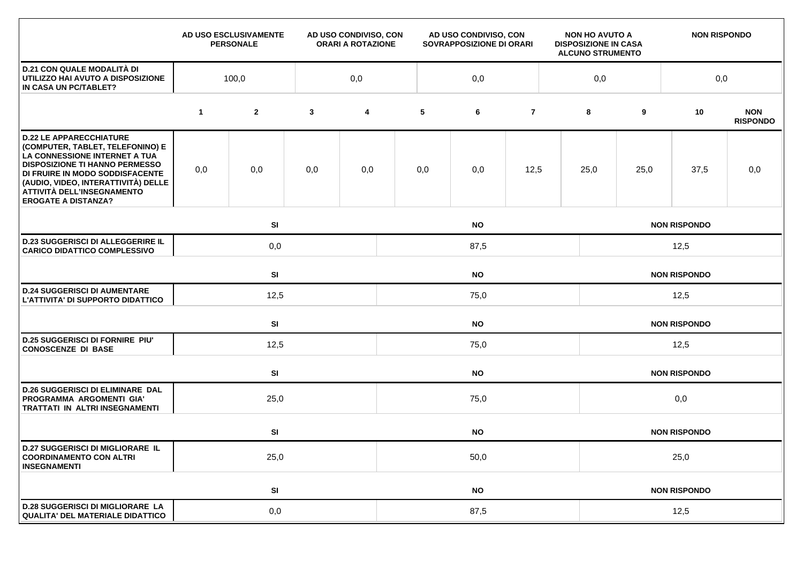|                                                                                                                                                                                                                                                                                    |             | AD USO ESCLUSIVAMENTE<br><b>PERSONALE</b> |              | AD USO CONDIVISO, CON<br><b>ORARI A ROTAZIONE</b> |           | AD USO CONDIVISO, CON<br>SOVRAPPOSIZIONE DI ORARI |                |     | <b>NON HO AVUTO A</b><br><b>DISPOSIZIONE IN CASA</b><br><b>ALCUNO STRUMENTO</b> |                     | <b>NON RISPONDO</b> |                               |  |
|------------------------------------------------------------------------------------------------------------------------------------------------------------------------------------------------------------------------------------------------------------------------------------|-------------|-------------------------------------------|--------------|---------------------------------------------------|-----------|---------------------------------------------------|----------------|-----|---------------------------------------------------------------------------------|---------------------|---------------------|-------------------------------|--|
| <b>D.21 CON QUALE MODALITÀ DI</b><br>UTILIZZO HAI AVUTO A DISPOSIZIONE<br>IN CASA UN PC/TABLET?                                                                                                                                                                                    | 100,0       |                                           |              | 0,0                                               |           | 0,0                                               |                | 0,0 |                                                                                 |                     | 0,0                 |                               |  |
|                                                                                                                                                                                                                                                                                    | $\mathbf 1$ | $\mathbf{2}$                              | $\mathbf{3}$ | 4                                                 | 5         | 6                                                 | $\overline{7}$ |     | 8                                                                               | 9                   | 10                  | <b>NON</b><br><b>RISPONDO</b> |  |
| <b>D.22 LE APPARECCHIATURE</b><br>(COMPUTER, TABLET, TELEFONINO) E<br>LA CONNESSIONE INTERNET A TUA<br><b>DISPOSIZIONE TI HANNO PERMESSO</b><br>DI FRUIRE IN MODO SODDISFACENTE<br>(AUDIO, VIDEO, INTERATTIVITÀ) DELLE<br>ATTIVITÀ DELL'INSEGNAMENTO<br><b>EROGATE A DISTANZA?</b> | 0,0         | 0,0                                       | 0,0          | 0,0                                               | 0,0       | 0,0                                               | 12,5           |     | 25,0                                                                            | 25,0                | 37,5                | 0,0                           |  |
|                                                                                                                                                                                                                                                                                    |             | SI                                        |              |                                                   |           | <b>NO</b>                                         |                |     | <b>NON RISPONDO</b>                                                             |                     |                     |                               |  |
| <b>D.23 SUGGERISCI DI ALLEGGERIRE IL</b><br><b>CARICO DIDATTICO COMPLESSIVO</b>                                                                                                                                                                                                    |             | 0,0                                       |              |                                                   | 87,5      |                                                   |                |     |                                                                                 | 12,5                |                     |                               |  |
|                                                                                                                                                                                                                                                                                    |             | SI                                        |              |                                                   | <b>NO</b> |                                                   |                |     |                                                                                 | <b>NON RISPONDO</b> |                     |                               |  |
| <b>D.24 SUGGERISCI DI AUMENTARE</b><br>L'ATTIVITA' DI SUPPORTO DIDATTICO                                                                                                                                                                                                           |             | 12,5                                      |              |                                                   | 75,0      |                                                   |                |     |                                                                                 | 12,5                |                     |                               |  |
|                                                                                                                                                                                                                                                                                    |             | SI                                        |              |                                                   | <b>NO</b> |                                                   |                |     |                                                                                 | <b>NON RISPONDO</b> |                     |                               |  |
| <b>D.25 SUGGERISCI DI FORNIRE PIU'</b><br><b>CONOSCENZE DI BASE</b>                                                                                                                                                                                                                |             | 12,5                                      |              |                                                   | 75,0      |                                                   |                |     |                                                                                 | 12,5                |                     |                               |  |
|                                                                                                                                                                                                                                                                                    |             | SI                                        |              |                                                   | <b>NO</b> |                                                   |                |     |                                                                                 | <b>NON RISPONDO</b> |                     |                               |  |
| <b>D.26 SUGGERISCI DI ELIMINARE DAL</b><br>PROGRAMMA ARGOMENTI GIA'<br><b>TRATTATI IN ALTRI INSEGNAMENTI</b>                                                                                                                                                                       |             | 25,0                                      |              |                                                   | 75,0      |                                                   |                |     |                                                                                 | 0,0                 |                     |                               |  |
|                                                                                                                                                                                                                                                                                    |             | SI                                        |              |                                                   |           | <b>NO</b>                                         |                |     |                                                                                 |                     | <b>NON RISPONDO</b> |                               |  |
| <b>D.27 SUGGERISCI DI MIGLIORARE IL</b><br><b>COORDINAMENTO CON ALTRI</b><br><b>INSEGNAMENTI</b>                                                                                                                                                                                   | 25,0        |                                           |              |                                                   | 50,0      |                                                   |                |     |                                                                                 | 25,0                |                     |                               |  |
|                                                                                                                                                                                                                                                                                    |             | SI                                        |              |                                                   | <b>NO</b> |                                                   |                |     |                                                                                 | <b>NON RISPONDO</b> |                     |                               |  |
| <b>D.28 SUGGERISCI DI MIGLIORARE LA</b><br><b>QUALITA' DEL MATERIALE DIDATTICO</b>                                                                                                                                                                                                 | 0,0         |                                           |              |                                                   | 87,5      |                                                   |                |     |                                                                                 | 12,5                |                     |                               |  |